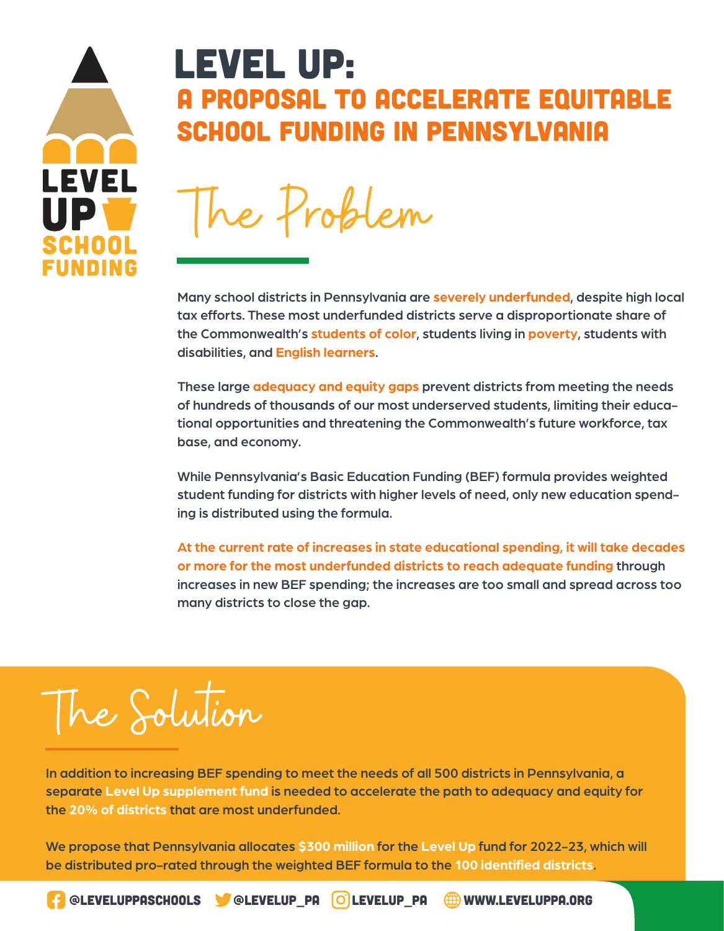

## Level up: A PROPOSAL TO ACCELERATE EQUITABLE SCHOOL FUNDING IN PENNSYLVANIA

The Problem

Many school districts in Pennsylvania are **severely underfunded**, despite high local tax efforts. These most underfunded districts serve a disproportionate share of the Commonwealth's **students of color**, students living in **poverty**, students with disabilities, and **English learners**.

These large **adequacy and equity gaps** prevent districts from meeting the needs of hundreds of thousands of our most underserved students, limiting their educational opportunities and threatening the Commonwealth's future workforce, tax base, and economy.

While Pennsylvania's Basic Education Funding (BEF) formula provides weighted student funding for districts with higher levels of need, only new education spending is distributed using the formula.

**At the current rate of increases in state educational spending, it will take decades or more for the most underfunded districts to reach adequate funding** through increases in new BEF spending; the increases are too small and spread across too many districts to close the gap.

## The Solution

In addition to increasing BEF spending to meet the needs of all 500 districts in Pennsylvania, a separate **Level Up supplement fund** is needed to accelerate the path to adequacy and equity for the **20% of districts** that are most underfunded.

We propose that Pennsylvania allocates **\$300 million** for the **Level Up** fund for 2022-23, which will be distributed pro-rated through the weighted BEF formula to the **100 identified districts**.